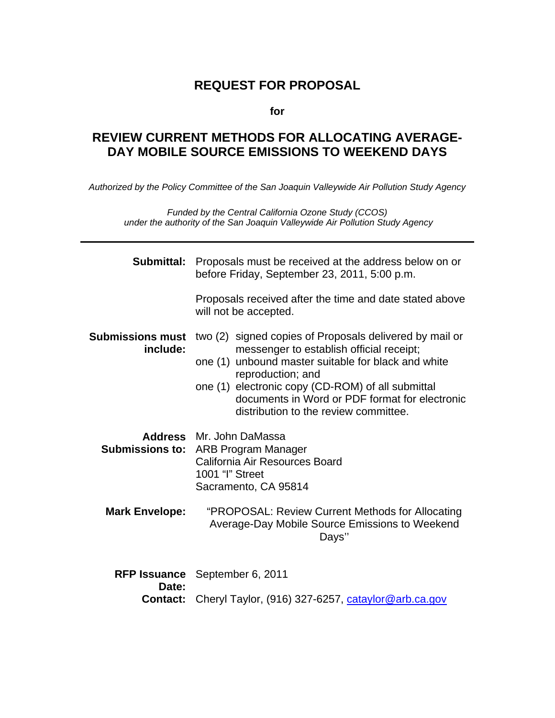# **REQUEST FOR PROPOSAL**

**for** 

# **REVIEW CURRENT METHODS FOR ALLOCATING AVERAGE-DAY MOBILE SOURCE EMISSIONS TO WEEKEND DAYS**

*Authorized by the Policy Committee of the San Joaquin Valleywide Air Pollution Study Agency* 

*Funded by the Central California Ozone Study (CCOS) under the authority of the San Joaquin Valleywide Air Pollution Study Agency* 

| Submittal:                          | Proposals must be received at the address below on or<br>before Friday, September 23, 2011, 5:00 p.m.                                                                                                                                                                                                                           |  |  |
|-------------------------------------|---------------------------------------------------------------------------------------------------------------------------------------------------------------------------------------------------------------------------------------------------------------------------------------------------------------------------------|--|--|
|                                     | Proposals received after the time and date stated above<br>will not be accepted.                                                                                                                                                                                                                                                |  |  |
| <b>Submissions must</b><br>include: | two (2) signed copies of Proposals delivered by mail or<br>messenger to establish official receipt;<br>one (1) unbound master suitable for black and white<br>reproduction; and<br>one (1) electronic copy (CD-ROM) of all submittal<br>documents in Word or PDF format for electronic<br>distribution to the review committee. |  |  |
|                                     | Address Mr. John DaMassa<br><b>Submissions to: ARB Program Manager</b><br>California Air Resources Board<br>1001 "I" Street<br>Sacramento, CA 95814                                                                                                                                                                             |  |  |
| <b>Mark Envelope:</b>               | "PROPOSAL: Review Current Methods for Allocating<br>Average-Day Mobile Source Emissions to Weekend<br>Days"                                                                                                                                                                                                                     |  |  |
| Date:                               | RFP Issuance September 6, 2011<br>Cheryl Taylor, (916) 327-6257, cataylor@arb.ca.gov                                                                                                                                                                                                                                            |  |  |
| <b>Contact:</b>                     |                                                                                                                                                                                                                                                                                                                                 |  |  |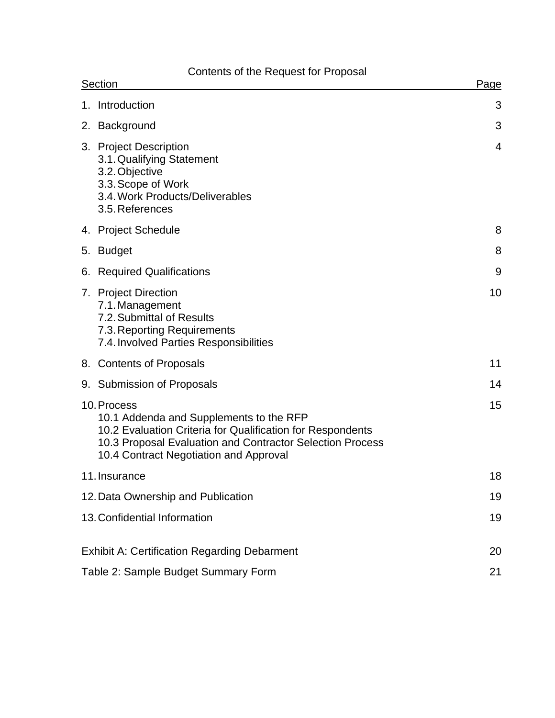# Contents of the Request for Proposal

| Section |                                                                                                                                                                                                                             | Page           |
|---------|-----------------------------------------------------------------------------------------------------------------------------------------------------------------------------------------------------------------------------|----------------|
|         | 1. Introduction                                                                                                                                                                                                             | 3              |
|         | 2. Background                                                                                                                                                                                                               | 3              |
|         | 3. Project Description<br>3.1. Qualifying Statement<br>3.2. Objective<br>3.3. Scope of Work<br>3.4. Work Products/Deliverables<br>3.5. References                                                                           | $\overline{4}$ |
|         | 4. Project Schedule                                                                                                                                                                                                         | 8              |
| 5.      | <b>Budget</b>                                                                                                                                                                                                               | 8              |
| 6.      | <b>Required Qualifications</b>                                                                                                                                                                                              | 9              |
|         | 7. Project Direction<br>7.1. Management<br>7.2. Submittal of Results<br>7.3. Reporting Requirements<br>7.4. Involved Parties Responsibilities                                                                               | 10             |
|         | 8. Contents of Proposals                                                                                                                                                                                                    | 11             |
|         | 9. Submission of Proposals                                                                                                                                                                                                  | 14             |
|         | 10. Process<br>10.1 Addenda and Supplements to the RFP<br>10.2 Evaluation Criteria for Qualification for Respondents<br>10.3 Proposal Evaluation and Contractor Selection Process<br>10.4 Contract Negotiation and Approval | 15             |
|         | 11. Insurance                                                                                                                                                                                                               | 18             |
|         | 12. Data Ownership and Publication                                                                                                                                                                                          | 19             |
|         | 13. Confidential Information                                                                                                                                                                                                | 19             |
|         | <b>Exhibit A: Certification Regarding Debarment</b>                                                                                                                                                                         | 20             |
|         | Table 2: Sample Budget Summary Form                                                                                                                                                                                         | 21             |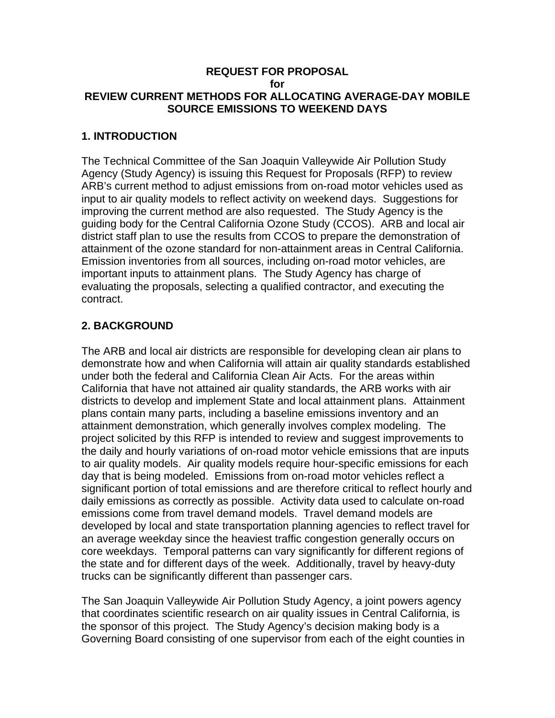#### **REQUEST FOR PROPOSAL for REVIEW CURRENT METHODS FOR ALLOCATING AVERAGE-DAY MOBILE SOURCE EMISSIONS TO WEEKEND DAYS**

#### **1. INTRODUCTION**

The Technical Committee of the San Joaquin Valleywide Air Pollution Study Agency (Study Agency) is issuing this Request for Proposals (RFP) to review ARB's current method to adjust emissions from on-road motor vehicles used as input to air quality models to reflect activity on weekend days. Suggestions for improving the current method are also requested. The Study Agency is the guiding body for the Central California Ozone Study (CCOS). ARB and local air district staff plan to use the results from CCOS to prepare the demonstration of attainment of the ozone standard for non-attainment areas in Central California. Emission inventories from all sources, including on-road motor vehicles, are important inputs to attainment plans. The Study Agency has charge of evaluating the proposals, selecting a qualified contractor, and executing the contract.

## **2. BACKGROUND**

The ARB and local air districts are responsible for developing clean air plans to demonstrate how and when California will attain air quality standards established under both the federal and California Clean Air Acts. For the areas within California that have not attained air quality standards, the ARB works with air districts to develop and implement State and local attainment plans. Attainment plans contain many parts, including a baseline emissions inventory and an attainment demonstration, which generally involves complex modeling. The project solicited by this RFP is intended to review and suggest improvements to the daily and hourly variations of on-road motor vehicle emissions that are inputs to air quality models. Air quality models require hour-specific emissions for each day that is being modeled. Emissions from on-road motor vehicles reflect a significant portion of total emissions and are therefore critical to reflect hourly and daily emissions as correctly as possible. Activity data used to calculate on-road emissions come from travel demand models. Travel demand models are developed by local and state transportation planning agencies to reflect travel for an average weekday since the heaviest traffic congestion generally occurs on core weekdays. Temporal patterns can vary significantly for different regions of the state and for different days of the week. Additionally, travel by heavy-duty trucks can be significantly different than passenger cars.

The San Joaquin Valleywide Air Pollution Study Agency, a joint powers agency that coordinates scientific research on air quality issues in Central California, is the sponsor of this project. The Study Agency's decision making body is a Governing Board consisting of one supervisor from each of the eight counties in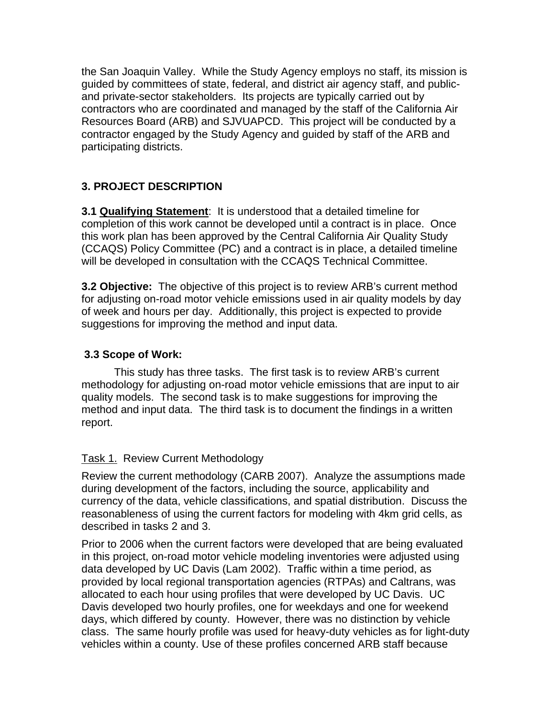the San Joaquin Valley. While the Study Agency employs no staff, its mission is guided by committees of state, federal, and district air agency staff, and publicand private-sector stakeholders. Its projects are typically carried out by contractors who are coordinated and managed by the staff of the California Air Resources Board (ARB) and SJVUAPCD. This project will be conducted by a contractor engaged by the Study Agency and guided by staff of the ARB and participating districts.

# **3. PROJECT DESCRIPTION**

**3.1 Qualifying Statement**: It is understood that a detailed timeline for completion of this work cannot be developed until a contract is in place. Once this work plan has been approved by the Central California Air Quality Study (CCAQS) Policy Committee (PC) and a contract is in place, a detailed timeline will be developed in consultation with the CCAQS Technical Committee.

**3.2 Objective:** The objective of this project is to review ARB's current method for adjusting on-road motor vehicle emissions used in air quality models by day of week and hours per day. Additionally, this project is expected to provide suggestions for improving the method and input data.

### **3.3 Scope of Work:**

This study has three tasks. The first task is to review ARB's current methodology for adjusting on-road motor vehicle emissions that are input to air quality models. The second task is to make suggestions for improving the method and input data. The third task is to document the findings in a written report.

#### Task 1. Review Current Methodology

Review the current methodology (CARB 2007). Analyze the assumptions made during development of the factors, including the source, applicability and currency of the data, vehicle classifications, and spatial distribution. Discuss the reasonableness of using the current factors for modeling with 4km grid cells, as described in tasks 2 and 3.

Prior to 2006 when the current factors were developed that are being evaluated in this project, on-road motor vehicle modeling inventories were adjusted using data developed by UC Davis (Lam 2002). Traffic within a time period, as provided by local regional transportation agencies (RTPAs) and Caltrans, was allocated to each hour using profiles that were developed by UC Davis. UC Davis developed two hourly profiles, one for weekdays and one for weekend days, which differed by county. However, there was no distinction by vehicle class. The same hourly profile was used for heavy-duty vehicles as for light-duty vehicles within a county. Use of these profiles concerned ARB staff because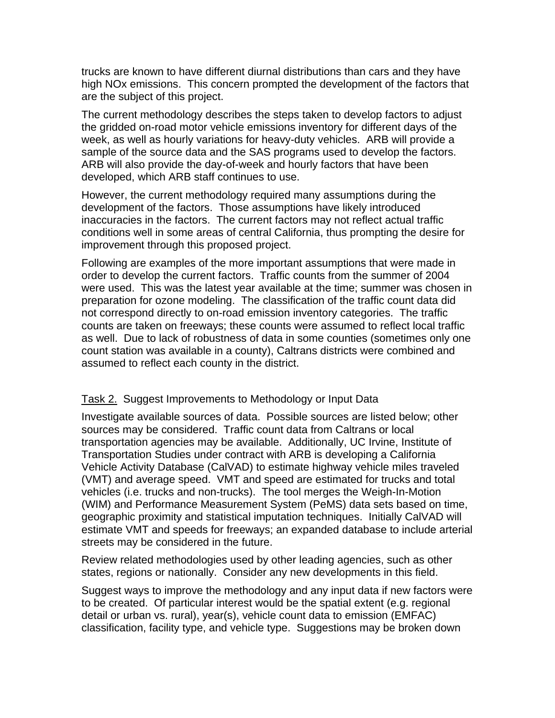trucks are known to have different diurnal distributions than cars and they have high NOx emissions. This concern prompted the development of the factors that are the subject of this project.

The current methodology describes the steps taken to develop factors to adjust the gridded on-road motor vehicle emissions inventory for different days of the week, as well as hourly variations for heavy-duty vehicles. ARB will provide a sample of the source data and the SAS programs used to develop the factors. ARB will also provide the day-of-week and hourly factors that have been developed, which ARB staff continues to use.

However, the current methodology required many assumptions during the development of the factors. Those assumptions have likely introduced inaccuracies in the factors. The current factors may not reflect actual traffic conditions well in some areas of central California, thus prompting the desire for improvement through this proposed project.

Following are examples of the more important assumptions that were made in order to develop the current factors. Traffic counts from the summer of 2004 were used. This was the latest year available at the time; summer was chosen in preparation for ozone modeling. The classification of the traffic count data did not correspond directly to on-road emission inventory categories. The traffic counts are taken on freeways; these counts were assumed to reflect local traffic as well. Due to lack of robustness of data in some counties (sometimes only one count station was available in a county), Caltrans districts were combined and assumed to reflect each county in the district.

#### Task 2. Suggest Improvements to Methodology or Input Data

Investigate available sources of data. Possible sources are listed below; other sources may be considered. Traffic count data from Caltrans or local transportation agencies may be available. Additionally, UC Irvine, Institute of Transportation Studies under contract with ARB is developing a California Vehicle Activity Database (CalVAD) to estimate highway vehicle miles traveled (VMT) and average speed. VMT and speed are estimated for trucks and total vehicles (i.e. trucks and non-trucks). The tool merges the Weigh-In-Motion (WIM) and Performance Measurement System (PeMS) data sets based on time, geographic proximity and statistical imputation techniques. Initially CalVAD will estimate VMT and speeds for freeways; an expanded database to include arterial streets may be considered in the future.

Review related methodologies used by other leading agencies, such as other states, regions or nationally. Consider any new developments in this field.

Suggest ways to improve the methodology and any input data if new factors were to be created. Of particular interest would be the spatial extent (e.g. regional detail or urban vs. rural), year(s), vehicle count data to emission (EMFAC) classification, facility type, and vehicle type. Suggestions may be broken down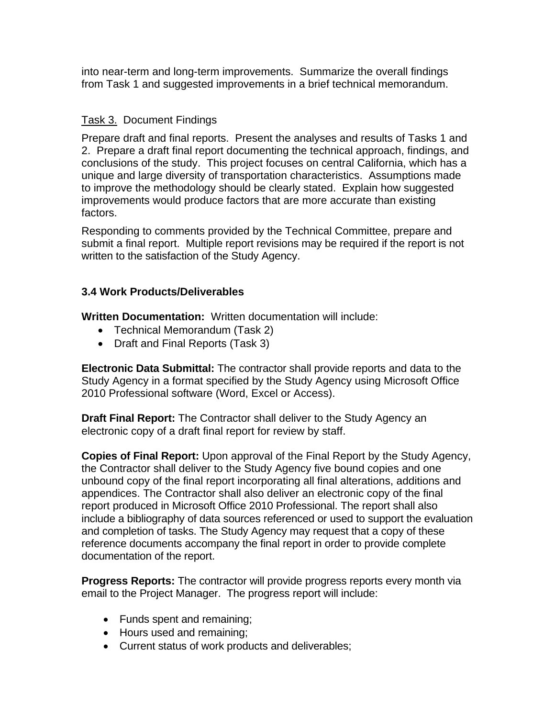into near-term and long-term improvements. Summarize the overall findings from Task 1 and suggested improvements in a brief technical memorandum.

### Task 3. Document Findings

Prepare draft and final reports. Present the analyses and results of Tasks 1 and 2. Prepare a draft final report documenting the technical approach, findings, and conclusions of the study. This project focuses on central California, which has a unique and large diversity of transportation characteristics. Assumptions made to improve the methodology should be clearly stated. Explain how suggested improvements would produce factors that are more accurate than existing factors.

Responding to comments provided by the Technical Committee, prepare and submit a final report. Multiple report revisions may be required if the report is not written to the satisfaction of the Study Agency.

### **3.4 Work Products/Deliverables**

**Written Documentation:** Written documentation will include:

- Technical Memorandum (Task 2)
- Draft and Final Reports (Task 3)

**Electronic Data Submittal:** The contractor shall provide reports and data to the Study Agency in a format specified by the Study Agency using Microsoft Office 2010 Professional software (Word, Excel or Access).

**Draft Final Report:** The Contractor shall deliver to the Study Agency an electronic copy of a draft final report for review by staff.

**Copies of Final Report:** Upon approval of the Final Report by the Study Agency, the Contractor shall deliver to the Study Agency five bound copies and one unbound copy of the final report incorporating all final alterations, additions and appendices. The Contractor shall also deliver an electronic copy of the final report produced in Microsoft Office 2010 Professional. The report shall also include a bibliography of data sources referenced or used to support the evaluation and completion of tasks. The Study Agency may request that a copy of these reference documents accompany the final report in order to provide complete documentation of the report.

**Progress Reports:** The contractor will provide progress reports every month via email to the Project Manager. The progress report will include:

- Funds spent and remaining;
- Hours used and remaining;
- Current status of work products and deliverables;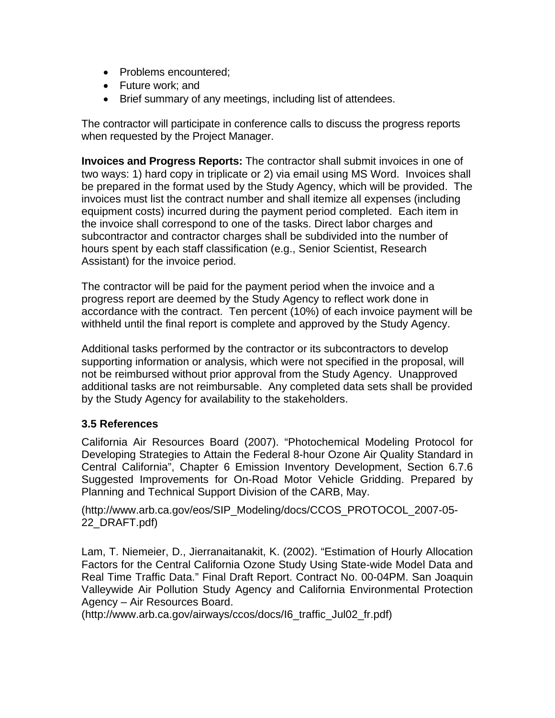- Problems encountered:
- Future work; and
- Brief summary of any meetings, including list of attendees.

The contractor will participate in conference calls to discuss the progress reports when requested by the Project Manager.

**Invoices and Progress Reports:** The contractor shall submit invoices in one of two ways: 1) hard copy in triplicate or 2) via email using MS Word. Invoices shall be prepared in the format used by the Study Agency, which will be provided. The invoices must list the contract number and shall itemize all expenses (including equipment costs) incurred during the payment period completed. Each item in the invoice shall correspond to one of the tasks. Direct labor charges and subcontractor and contractor charges shall be subdivided into the number of hours spent by each staff classification (e.g., Senior Scientist, Research Assistant) for the invoice period.

The contractor will be paid for the payment period when the invoice and a progress report are deemed by the Study Agency to reflect work done in accordance with the contract. Ten percent (10%) of each invoice payment will be withheld until the final report is complete and approved by the Study Agency.

Additional tasks performed by the contractor or its subcontractors to develop supporting information or analysis, which were not specified in the proposal, will not be reimbursed without prior approval from the Study Agency. Unapproved additional tasks are not reimbursable. Any completed data sets shall be provided by the Study Agency for availability to the stakeholders.

#### **3.5 References**

California Air Resources Board (2007). "Photochemical Modeling Protocol for Developing Strategies to Attain the Federal 8-hour Ozone Air Quality Standard in Central California", Chapter 6 Emission Inventory Development, Section 6.7.6 Suggested Improvements for On-Road Motor Vehicle Gridding. Prepared by Planning and Technical Support Division of the CARB, May.

(http://www.arb.ca.gov/eos/SIP\_Modeling/docs/CCOS\_PROTOCOL\_2007-05- 22\_DRAFT.pdf)

Lam, T. Niemeier, D., Jierranaitanakit, K. (2002). "Estimation of Hourly Allocation Factors for the Central California Ozone Study Using State-wide Model Data and Real Time Traffic Data." Final Draft Report. Contract No. 00-04PM. San Joaquin Valleywide Air Pollution Study Agency and California Environmental Protection Agency – Air Resources Board.

(http://www.arb.ca.gov/airways/ccos/docs/I6\_traffic\_Jul02\_fr.pdf)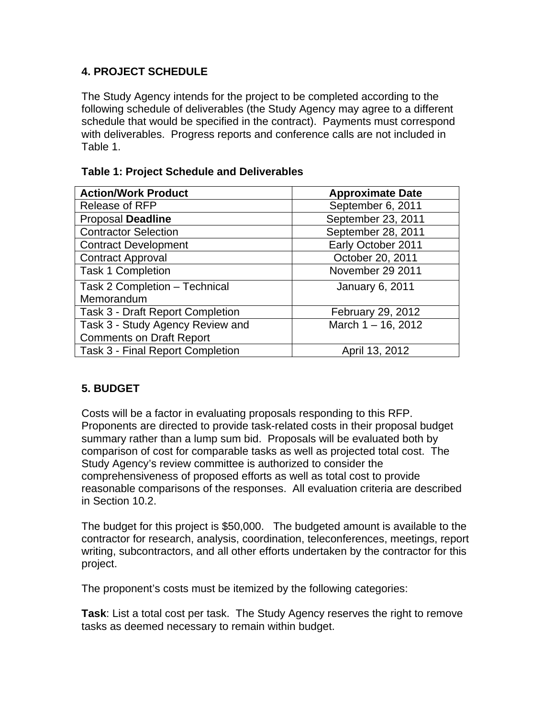## **4. PROJECT SCHEDULE**

The Study Agency intends for the project to be completed according to the following schedule of deliverables (the Study Agency may agree to a different schedule that would be specified in the contract). Payments must correspond with deliverables. Progress reports and conference calls are not included in Table 1.

|  | Table 1: Project Schedule and Deliverables |
|--|--------------------------------------------|
|--|--------------------------------------------|

| <b>Action/Work Product</b>              | <b>Approximate Date</b> |  |
|-----------------------------------------|-------------------------|--|
| Release of RFP                          | September 6, 2011       |  |
| <b>Proposal Deadline</b>                | September 23, 2011      |  |
| <b>Contractor Selection</b>             | September 28, 2011      |  |
| <b>Contract Development</b>             | Early October 2011      |  |
| <b>Contract Approval</b>                | October 20, 2011        |  |
| <b>Task 1 Completion</b>                | November 29 2011        |  |
| Task 2 Completion - Technical           | <b>January 6, 2011</b>  |  |
| Memorandum                              |                         |  |
| <b>Task 3 - Draft Report Completion</b> | February 29, 2012       |  |
| Task 3 - Study Agency Review and        | March $1 - 16$ , 2012   |  |
| <b>Comments on Draft Report</b>         |                         |  |
| Task 3 - Final Report Completion        | April 13, 2012          |  |

## **5. BUDGET**

Costs will be a factor in evaluating proposals responding to this RFP. Proponents are directed to provide task-related costs in their proposal budget summary rather than a lump sum bid. Proposals will be evaluated both by comparison of cost for comparable tasks as well as projected total cost. The Study Agency's review committee is authorized to consider the comprehensiveness of proposed efforts as well as total cost to provide reasonable comparisons of the responses. All evaluation criteria are described in Section 10.2.

The budget for this project is \$50,000. The budgeted amount is available to the contractor for research, analysis, coordination, teleconferences, meetings, report writing, subcontractors, and all other efforts undertaken by the contractor for this project.

The proponent's costs must be itemized by the following categories:

**Task**: List a total cost per task. The Study Agency reserves the right to remove tasks as deemed necessary to remain within budget.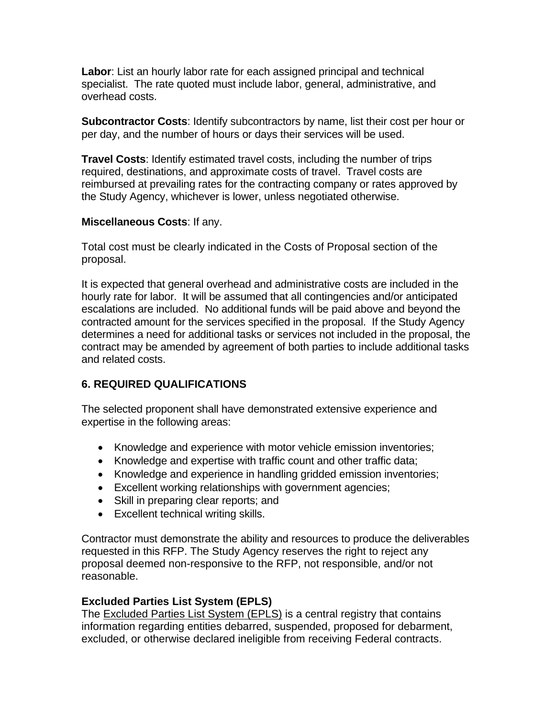**Labor**: List an hourly labor rate for each assigned principal and technical specialist. The rate quoted must include labor, general, administrative, and overhead costs.

**Subcontractor Costs**: Identify subcontractors by name, list their cost per hour or per day, and the number of hours or days their services will be used.

**Travel Costs**: Identify estimated travel costs, including the number of trips required, destinations, and approximate costs of travel. Travel costs are reimbursed at prevailing rates for the contracting company or rates approved by the Study Agency, whichever is lower, unless negotiated otherwise.

#### **Miscellaneous Costs**: If any.

Total cost must be clearly indicated in the Costs of Proposal section of the proposal.

It is expected that general overhead and administrative costs are included in the hourly rate for labor. It will be assumed that all contingencies and/or anticipated escalations are included. No additional funds will be paid above and beyond the contracted amount for the services specified in the proposal. If the Study Agency determines a need for additional tasks or services not included in the proposal, the contract may be amended by agreement of both parties to include additional tasks and related costs.

## **6. REQUIRED QUALIFICATIONS**

The selected proponent shall have demonstrated extensive experience and expertise in the following areas:

- Knowledge and experience with motor vehicle emission inventories;
- Knowledge and expertise with traffic count and other traffic data;
- Knowledge and experience in handling gridded emission inventories;
- Excellent working relationships with government agencies;
- Skill in preparing clear reports; and
- Excellent technical writing skills.

Contractor must demonstrate the ability and resources to produce the deliverables requested in this RFP. The Study Agency reserves the right to reject any proposal deemed non-responsive to the RFP, not responsible, and/or not reasonable.

#### **Excluded Parties List System (EPLS)**

The [Excluded Parties List System \(EPLS\)](http://www.epls.gov/) is a central registry that contains information regarding entities debarred, suspended, proposed for debarment, excluded, or otherwise declared ineligible from receiving Federal contracts.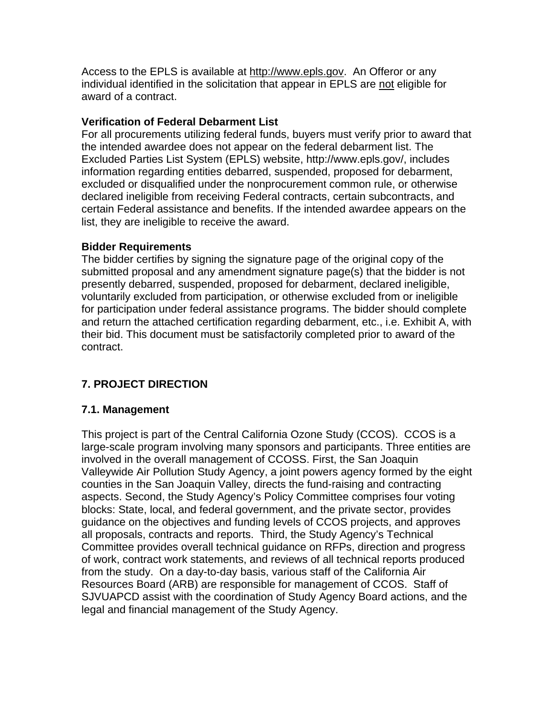Access to the EPLS is available at [http://www.epls.gov](http://www.epls.gov/). An Offeror or any individual identified in the solicitation that appear in EPLS are not eligible for award of a contract.

#### **Verification of Federal Debarment List**

For all procurements utilizing federal funds, buyers must verify prior to award that the intended awardee does not appear on the federal debarment list. The Excluded Parties List System (EPLS) website, http://www.epls.gov/, includes information regarding entities debarred, suspended, proposed for debarment, excluded or disqualified under the nonprocurement common rule, or otherwise declared ineligible from receiving Federal contracts, certain subcontracts, and certain Federal assistance and benefits. If the intended awardee appears on the list, they are ineligible to receive the award.

## **Bidder Requirements**

The bidder certifies by signing the signature page of the original copy of the submitted proposal and any amendment signature page(s) that the bidder is not presently debarred, suspended, proposed for debarment, declared ineligible, voluntarily excluded from participation, or otherwise excluded from or ineligible for participation under federal assistance programs. The bidder should complete and return the attached certification regarding debarment, etc., i.e. Exhibit A, with their bid. This document must be satisfactorily completed prior to award of the contract.

# **7. PROJECT DIRECTION**

#### **7.1. Management**

This project is part of the Central California Ozone Study (CCOS). CCOS is a large-scale program involving many sponsors and participants. Three entities are involved in the overall management of CCOSS. First, the San Joaquin Valleywide Air Pollution Study Agency, a joint powers agency formed by the eight counties in the San Joaquin Valley, directs the fund-raising and contracting aspects. Second, the Study Agency's Policy Committee comprises four voting blocks: State, local, and federal government, and the private sector, provides guidance on the objectives and funding levels of CCOS projects, and approves all proposals, contracts and reports. Third, the Study Agency's Technical Committee provides overall technical guidance on RFPs, direction and progress of work, contract work statements, and reviews of all technical reports produced from the study. On a day-to-day basis, various staff of the California Air Resources Board (ARB) are responsible for management of CCOS. Staff of SJVUAPCD assist with the coordination of Study Agency Board actions, and the legal and financial management of the Study Agency.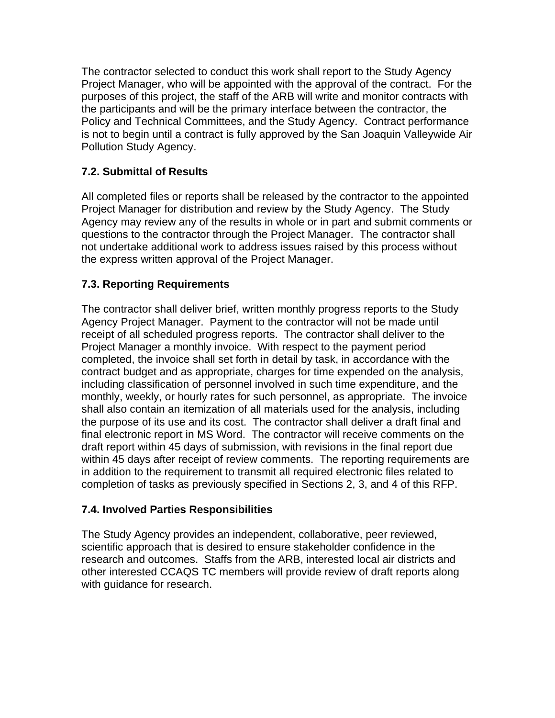The contractor selected to conduct this work shall report to the Study Agency Project Manager, who will be appointed with the approval of the contract. For the purposes of this project, the staff of the ARB will write and monitor contracts with the participants and will be the primary interface between the contractor, the Policy and Technical Committees, and the Study Agency. Contract performance is not to begin until a contract is fully approved by the San Joaquin Valleywide Air Pollution Study Agency.

# **7.2. Submittal of Results**

All completed files or reports shall be released by the contractor to the appointed Project Manager for distribution and review by the Study Agency. The Study Agency may review any of the results in whole or in part and submit comments or questions to the contractor through the Project Manager. The contractor shall not undertake additional work to address issues raised by this process without the express written approval of the Project Manager.

# **7.3. Reporting Requirements**

The contractor shall deliver brief, written monthly progress reports to the Study Agency Project Manager. Payment to the contractor will not be made until receipt of all scheduled progress reports. The contractor shall deliver to the Project Manager a monthly invoice. With respect to the payment period completed, the invoice shall set forth in detail by task, in accordance with the contract budget and as appropriate, charges for time expended on the analysis, including classification of personnel involved in such time expenditure, and the monthly, weekly, or hourly rates for such personnel, as appropriate. The invoice shall also contain an itemization of all materials used for the analysis, including the purpose of its use and its cost. The contractor shall deliver a draft final and final electronic report in MS Word. The contractor will receive comments on the draft report within 45 days of submission, with revisions in the final report due within 45 days after receipt of review comments. The reporting requirements are in addition to the requirement to transmit all required electronic files related to completion of tasks as previously specified in Sections 2, 3, and 4 of this RFP.

## **7.4. Involved Parties Responsibilities**

The Study Agency provides an independent, collaborative, peer reviewed, scientific approach that is desired to ensure stakeholder confidence in the research and outcomes. Staffs from the ARB, interested local air districts and other interested CCAQS TC members will provide review of draft reports along with guidance for research.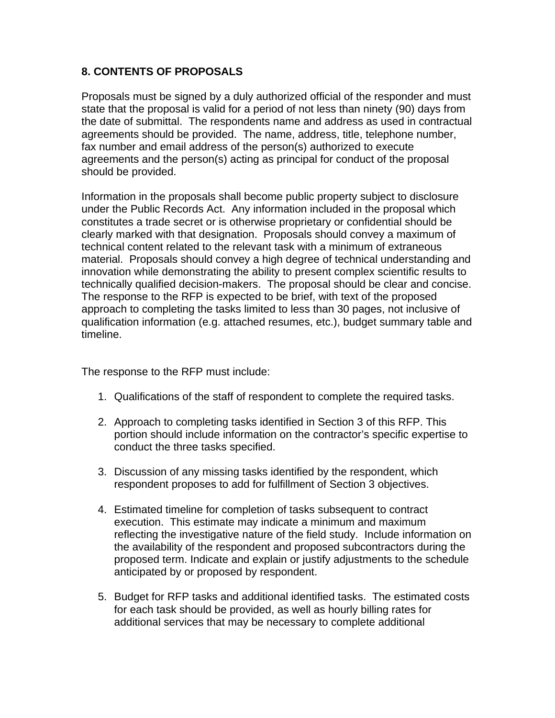## **8. CONTENTS OF PROPOSALS**

Proposals must be signed by a duly authorized official of the responder and must state that the proposal is valid for a period of not less than ninety (90) days from the date of submittal. The respondents name and address as used in contractual agreements should be provided. The name, address, title, telephone number, fax number and email address of the person(s) authorized to execute agreements and the person(s) acting as principal for conduct of the proposal should be provided.

Information in the proposals shall become public property subject to disclosure under the Public Records Act. Any information included in the proposal which constitutes a trade secret or is otherwise proprietary or confidential should be clearly marked with that designation. Proposals should convey a maximum of technical content related to the relevant task with a minimum of extraneous material. Proposals should convey a high degree of technical understanding and innovation while demonstrating the ability to present complex scientific results to technically qualified decision-makers. The proposal should be clear and concise. The response to the RFP is expected to be brief, with text of the proposed approach to completing the tasks limited to less than 30 pages, not inclusive of qualification information (e.g. attached resumes, etc.), budget summary table and timeline.

The response to the RFP must include:

- 1. Qualifications of the staff of respondent to complete the required tasks.
- 2. Approach to completing tasks identified in Section 3 of this RFP. This portion should include information on the contractor's specific expertise to conduct the three tasks specified.
- 3. Discussion of any missing tasks identified by the respondent, which respondent proposes to add for fulfillment of Section 3 objectives.
- 4. Estimated timeline for completion of tasks subsequent to contract execution. This estimate may indicate a minimum and maximum reflecting the investigative nature of the field study. Include information on the availability of the respondent and proposed subcontractors during the proposed term. Indicate and explain or justify adjustments to the schedule anticipated by or proposed by respondent.
- 5. Budget for RFP tasks and additional identified tasks. The estimated costs for each task should be provided, as well as hourly billing rates for additional services that may be necessary to complete additional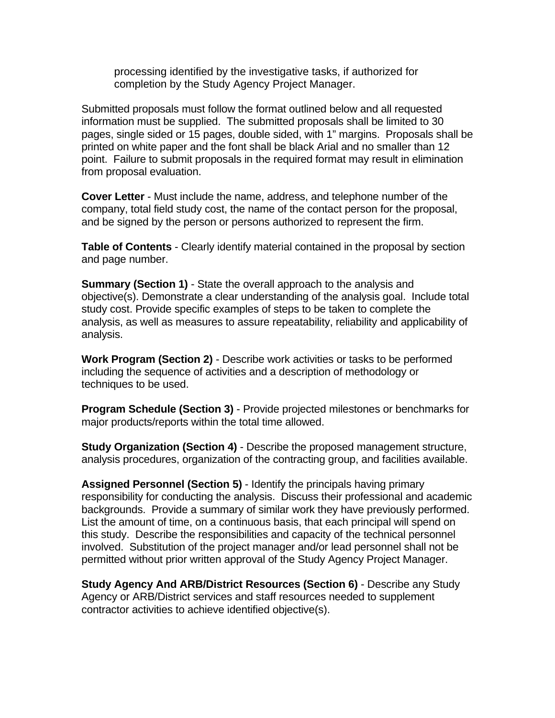processing identified by the investigative tasks, if authorized for completion by the Study Agency Project Manager.

Submitted proposals must follow the format outlined below and all requested information must be supplied. The submitted proposals shall be limited to 30 pages, single sided or 15 pages, double sided, with 1" margins. Proposals shall be printed on white paper and the font shall be black Arial and no smaller than 12 point. Failure to submit proposals in the required format may result in elimination from proposal evaluation.

**Cover Letter** - Must include the name, address, and telephone number of the company, total field study cost, the name of the contact person for the proposal, and be signed by the person or persons authorized to represent the firm.

**Table of Contents** - Clearly identify material contained in the proposal by section and page number.

**Summary (Section 1)** - State the overall approach to the analysis and objective(s). Demonstrate a clear understanding of the analysis goal. Include total study cost. Provide specific examples of steps to be taken to complete the analysis, as well as measures to assure repeatability, reliability and applicability of analysis.

**Work Program (Section 2)** - Describe work activities or tasks to be performed including the sequence of activities and a description of methodology or techniques to be used.

**Program Schedule (Section 3)** - Provide projected milestones or benchmarks for major products/reports within the total time allowed.

**Study Organization (Section 4)** - Describe the proposed management structure, analysis procedures, organization of the contracting group, and facilities available.

**Assigned Personnel (Section 5)** - Identify the principals having primary responsibility for conducting the analysis. Discuss their professional and academic backgrounds. Provide a summary of similar work they have previously performed. List the amount of time, on a continuous basis, that each principal will spend on this study. Describe the responsibilities and capacity of the technical personnel involved. Substitution of the project manager and/or lead personnel shall not be permitted without prior written approval of the Study Agency Project Manager.

**Study Agency And ARB/District Resources (Section 6)** - Describe any Study Agency or ARB/District services and staff resources needed to supplement contractor activities to achieve identified objective(s).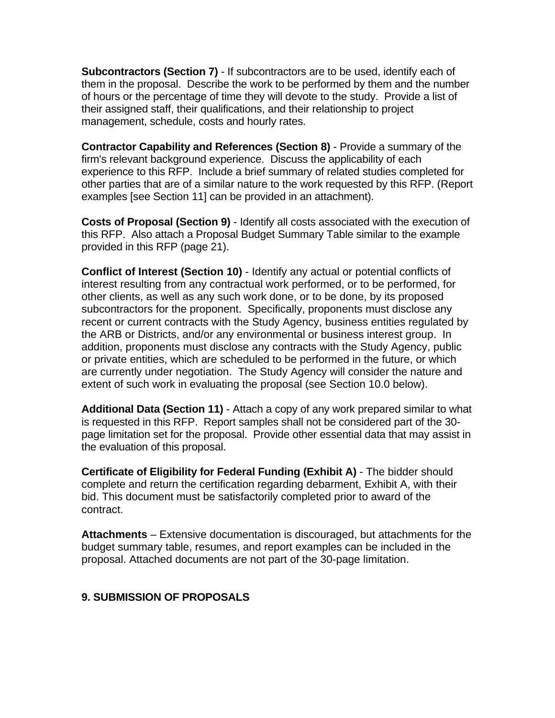**Subcontractors (Section 7)** - If subcontractors are to be used, identify each of them in the proposal. Describe the work to be performed by them and the number of hours or the percentage of time they will devote to the study. Provide a list of their assigned staff, their qualifications, and their relationship to project management, schedule, costs and hourly rates.

**Contractor Capability and References (Section 8)** - Provide a summary of the firm's relevant background experience. Discuss the applicability of each experience to this RFP. Include a brief summary of related studies completed for other parties that are of a similar nature to the work requested by this RFP. (Report examples [see Section 11] can be provided in an attachment).

**Costs of Proposal (Section 9)** - Identify all costs associated with the execution of this RFP. Also attach a Proposal Budget Summary Table similar to the example provided in this RFP (page 21).

**Conflict of Interest (Section 10)** - Identify any actual or potential conflicts of interest resulting from any contractual work performed, or to be performed, for other clients, as well as any such work done, or to be done, by its proposed subcontractors for the proponent. Specifically, proponents must disclose any recent or current contracts with the Study Agency, business entities regulated by the ARB or Districts, and/or any environmental or business interest group. In addition, proponents must disclose any contracts with the Study Agency, public or private entities, which are scheduled to be performed in the future, or which are currently under negotiation. The Study Agency will consider the nature and extent of such work in evaluating the proposal (see Section 10.0 below).

**Additional Data (Section 11)** - Attach a copy of any work prepared similar to what is requested in this RFP. Report samples shall not be considered part of the 30 page limitation set for the proposal. Provide other essential data that may assist in the evaluation of this proposal.

**Certificate of Eligibility for Federal Funding (Exhibit A)** - The bidder should complete and return the certification regarding debarment, Exhibit A, with their bid. This document must be satisfactorily completed prior to award of the contract.

**Attachments** – Extensive documentation is discouraged, but attachments for the budget summary table, resumes, and report examples can be included in the proposal. Attached documents are not part of the 30-page limitation.

#### **9. SUBMISSION OF PROPOSALS**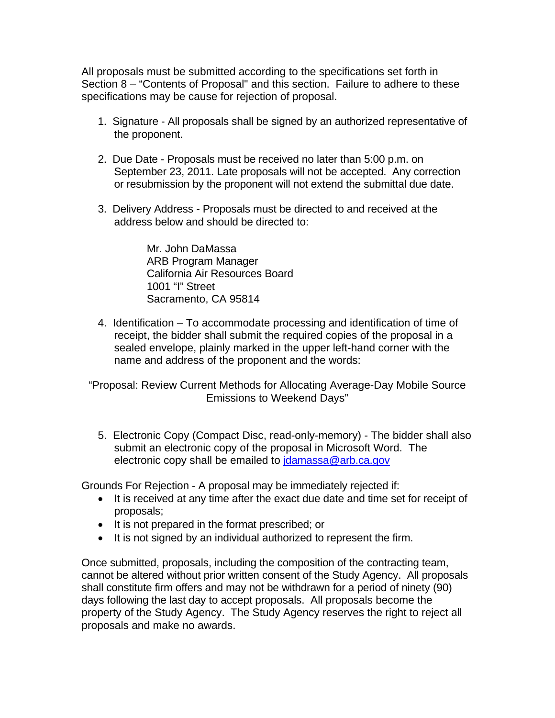All proposals must be submitted according to the specifications set forth in Section 8 – "Contents of Proposal" and this section. Failure to adhere to these specifications may be cause for rejection of proposal.

- 1. Signature All proposals shall be signed by an authorized representative of the proponent.
- 2. Due Date Proposals must be received no later than 5:00 p.m. on September 23, 2011. Late proposals will not be accepted. Any correction or resubmission by the proponent will not extend the submittal due date.
- 3. Delivery Address Proposals must be directed to and received at the address below and should be directed to:

Mr. John DaMassa ARB Program Manager California Air Resources Board 1001 "I" Street Sacramento, CA 95814

4. Identification – To accommodate processing and identification of time of receipt, the bidder shall submit the required copies of the proposal in a sealed envelope, plainly marked in the upper left-hand corner with the name and address of the proponent and the words:

"Proposal: Review Current Methods for Allocating Average-Day Mobile Source Emissions to Weekend Days"

5. Electronic Copy (Compact Disc, read-only-memory) - The bidder shall also submit an electronic copy of the proposal in Microsoft Word. The electronic copy shall be emailed to [jdamassa@arb.ca.gov](mailto:jdamassa@arb.ca.gov)

Grounds For Rejection - A proposal may be immediately rejected if:

- It is received at any time after the exact due date and time set for receipt of proposals;
- It is not prepared in the format prescribed; or
- $\bullet$  It is not signed by an individual authorized to represent the firm.

Once submitted, proposals, including the composition of the contracting team, cannot be altered without prior written consent of the Study Agency. All proposals shall constitute firm offers and may not be withdrawn for a period of ninety (90) days following the last day to accept proposals. All proposals become the property of the Study Agency. The Study Agency reserves the right to reject all proposals and make no awards.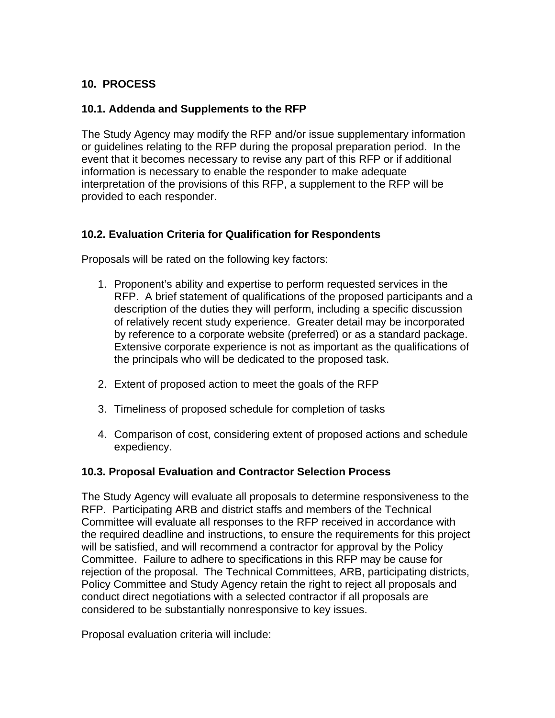# **10. PROCESS**

### **10.1. Addenda and Supplements to the RFP**

The Study Agency may modify the RFP and/or issue supplementary information or guidelines relating to the RFP during the proposal preparation period. In the event that it becomes necessary to revise any part of this RFP or if additional information is necessary to enable the responder to make adequate interpretation of the provisions of this RFP, a supplement to the RFP will be provided to each responder.

## **10.2. Evaluation Criteria for Qualification for Respondents**

Proposals will be rated on the following key factors:

- 1. Proponent's ability and expertise to perform requested services in the RFP. A brief statement of qualifications of the proposed participants and a description of the duties they will perform, including a specific discussion of relatively recent study experience. Greater detail may be incorporated by reference to a corporate website (preferred) or as a standard package. Extensive corporate experience is not as important as the qualifications of the principals who will be dedicated to the proposed task.
- 2. Extent of proposed action to meet the goals of the RFP
- 3. Timeliness of proposed schedule for completion of tasks
- 4. Comparison of cost, considering extent of proposed actions and schedule expediency.

#### **10.3. Proposal Evaluation and Contractor Selection Process**

The Study Agency will evaluate all proposals to determine responsiveness to the RFP. Participating ARB and district staffs and members of the Technical Committee will evaluate all responses to the RFP received in accordance with the required deadline and instructions, to ensure the requirements for this project will be satisfied, and will recommend a contractor for approval by the Policy Committee. Failure to adhere to specifications in this RFP may be cause for rejection of the proposal. The Technical Committees, ARB, participating districts, Policy Committee and Study Agency retain the right to reject all proposals and conduct direct negotiations with a selected contractor if all proposals are considered to be substantially nonresponsive to key issues.

Proposal evaluation criteria will include: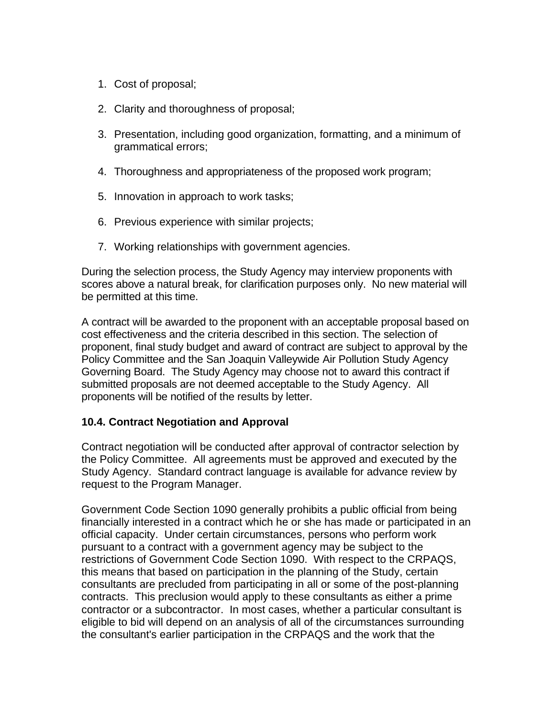- 1. Cost of proposal;
- 2. Clarity and thoroughness of proposal;
- 3. Presentation, including good organization, formatting, and a minimum of grammatical errors;
- 4. Thoroughness and appropriateness of the proposed work program;
- 5. Innovation in approach to work tasks;
- 6. Previous experience with similar projects;
- 7. Working relationships with government agencies.

During the selection process, the Study Agency may interview proponents with scores above a natural break, for clarification purposes only. No new material will be permitted at this time.

A contract will be awarded to the proponent with an acceptable proposal based on cost effectiveness and the criteria described in this section. The selection of proponent, final study budget and award of contract are subject to approval by the Policy Committee and the San Joaquin Valleywide Air Pollution Study Agency Governing Board. The Study Agency may choose not to award this contract if submitted proposals are not deemed acceptable to the Study Agency. All proponents will be notified of the results by letter.

#### **10.4. Contract Negotiation and Approval**

Contract negotiation will be conducted after approval of contractor selection by the Policy Committee. All agreements must be approved and executed by the Study Agency. Standard contract language is available for advance review by request to the Program Manager.

Government Code Section 1090 generally prohibits a public official from being financially interested in a contract which he or she has made or participated in an official capacity. Under certain circumstances, persons who perform work pursuant to a contract with a government agency may be subject to the restrictions of Government Code Section 1090. With respect to the CRPAQS, this means that based on participation in the planning of the Study, certain consultants are precluded from participating in all or some of the post-planning contracts. This preclusion would apply to these consultants as either a prime contractor or a subcontractor. In most cases, whether a particular consultant is eligible to bid will depend on an analysis of all of the circumstances surrounding the consultant's earlier participation in the CRPAQS and the work that the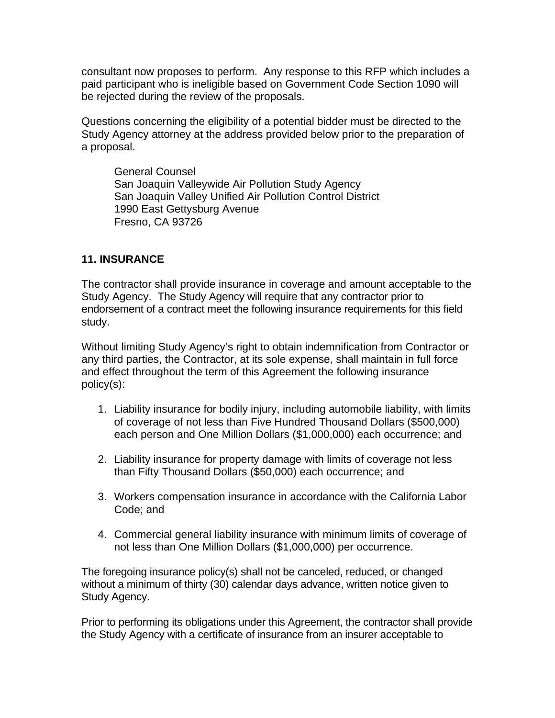consultant now proposes to perform. Any response to this RFP which includes a paid participant who is ineligible based on Government Code Section 1090 will be rejected during the review of the proposals.

Questions concerning the eligibility of a potential bidder must be directed to the Study Agency attorney at the address provided below prior to the preparation of a proposal.

General Counsel San Joaquin Valleywide Air Pollution Study Agency San Joaquin Valley Unified Air Pollution Control District 1990 East Gettysburg Avenue Fresno, CA 93726

#### **11. INSURANCE**

The contractor shall provide insurance in coverage and amount acceptable to the Study Agency. The Study Agency will require that any contractor prior to endorsement of a contract meet the following insurance requirements for this field study.

Without limiting Study Agency's right to obtain indemnification from Contractor or any third parties, the Contractor, at its sole expense, shall maintain in full force and effect throughout the term of this Agreement the following insurance policy(s):

- 1. Liability insurance for bodily injury, including automobile liability, with limits of coverage of not less than Five Hundred Thousand Dollars (\$500,000) each person and One Million Dollars (\$1,000,000) each occurrence; and
- 2. Liability insurance for property damage with limits of coverage not less than Fifty Thousand Dollars (\$50,000) each occurrence; and
- 3. Workers compensation insurance in accordance with the California Labor Code; and
- 4. Commercial general liability insurance with minimum limits of coverage of not less than One Million Dollars (\$1,000,000) per occurrence.

The foregoing insurance policy(s) shall not be canceled, reduced, or changed without a minimum of thirty (30) calendar days advance, written notice given to Study Agency.

Prior to performing its obligations under this Agreement, the contractor shall provide the Study Agency with a certificate of insurance from an insurer acceptable to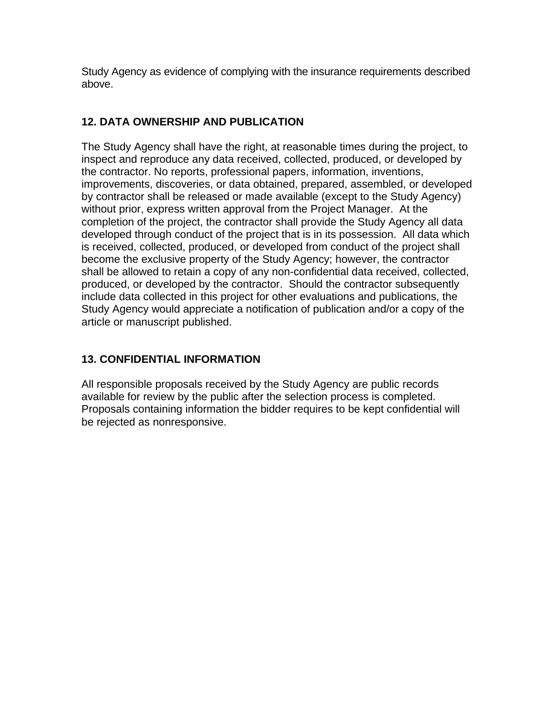Study Agency as evidence of complying with the insurance requirements described above.

# **12. DATA OWNERSHIP AND PUBLICATION**

The Study Agency shall have the right, at reasonable times during the project, to inspect and reproduce any data received, collected, produced, or developed by the contractor. No reports, professional papers, information, inventions, improvements, discoveries, or data obtained, prepared, assembled, or developed by contractor shall be released or made available (except to the Study Agency) without prior, express written approval from the Project Manager. At the completion of the project, the contractor shall provide the Study Agency all data developed through conduct of the project that is in its possession. All data which is received, collected, produced, or developed from conduct of the project shall become the exclusive property of the Study Agency; however, the contractor shall be allowed to retain a copy of any non-confidential data received, collected, produced, or developed by the contractor. Should the contractor subsequently include data collected in this project for other evaluations and publications, the Study Agency would appreciate a notification of publication and/or a copy of the article or manuscript published.

# **13. CONFIDENTIAL INFORMATION**

All responsible proposals received by the Study Agency are public records available for review by the public after the selection process is completed. Proposals containing information the bidder requires to be kept confidential will be rejected as nonresponsive.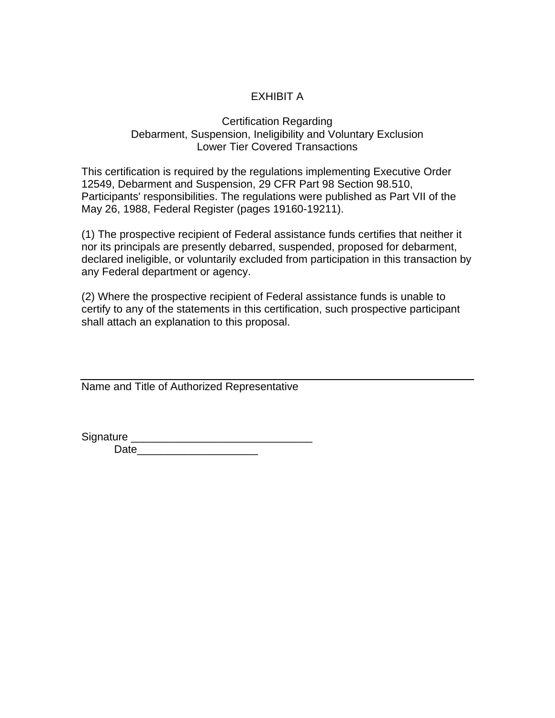# EXHIBIT A

#### Certification Regarding Debarment, Suspension, Ineligibility and Voluntary Exclusion Lower Tier Covered Transactions

This certification is required by the regulations implementing Executive Order 12549, Debarment and Suspension, 29 CFR Part 98 Section 98.510, Participants' responsibilities. The regulations were published as Part VII of the May 26, 1988, Federal Register (pages 19160-19211).

(1) The prospective recipient of Federal assistance funds certifies that neither it nor its principals are presently debarred, suspended, proposed for debarment, declared ineligible, or voluntarily excluded from participation in this transaction by any Federal department or agency.

(2) Where the prospective recipient of Federal assistance funds is unable to certify to any of the statements in this certification, such prospective participant shall attach an explanation to this proposal.

Name and Title of Authorized Representative

Signature \_\_\_\_\_\_\_\_\_\_\_\_\_\_\_\_\_\_\_\_\_\_\_\_\_\_\_\_\_\_

Date and the set of the set of the set of the set of the set of the set of the set of the set of the set of the set of the set of the set of the set of the set of the set of the set of the set of the set of the set of the